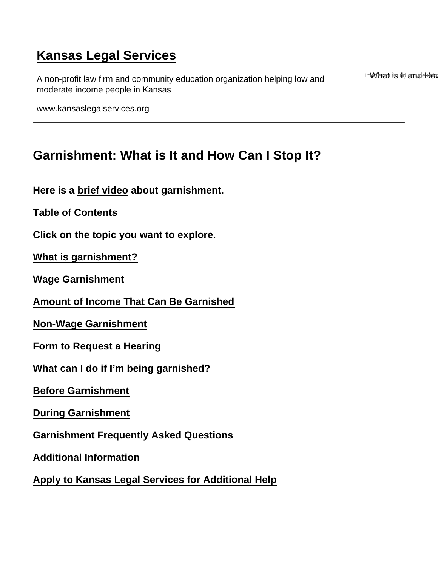# <span id="page-0-0"></span>[Kansas Legal Services](https://www.kansaslegalservices.org/)

A non-profit law firm and community education organization helping low and moderate income people in Kansas

Imal bat is internated that

www.kansaslegalservices.org

# [Garnishment: What is It and How Can I Stop It?](https://www.kansaslegalservices.org/node/2466/garnishment-what-it-and-how-can-i-stop-it)

Here is a [brief video](https://youtu.be/9YbeD-Nekeo) about garnishment.

Table of Contents

Click on the topic you want to explore.

[What is garnishment?](#page-1-0)

[Wage Garnishment](#page-1-0)

[Amount of Income That Can Be Garnished](#page-2-0)

[Non-Wage Garnishment](#page-3-0)

[Form to Request a Hearing](#page-4-0)

[What can I do if I'm being garnished?](#page-5-0)

[Before Garnishment](#page-5-0)

[During Garnishment](#page-5-0)

[Garnishment Frequently Asked Questions](#page-6-0)

[Additional Information](#page-7-0)

[Apply to Kansas Legal Services for Additional Help](#page-7-0)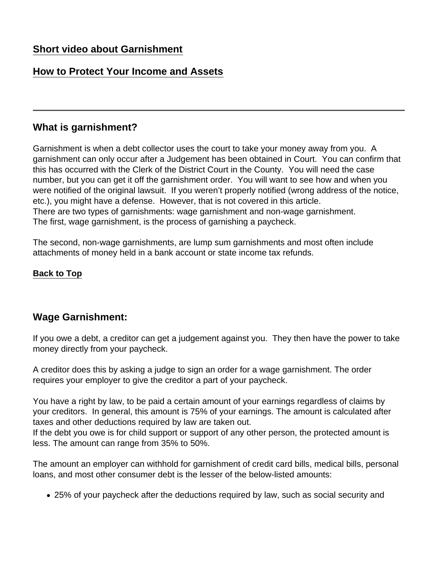# <span id="page-1-0"></span>[Short video about Garnishment](#page-8-0)

# [How to Protect Your Income and Assets](#page-8-0)

## What is garnishment?

Garnishment is when a debt collector uses the court to take your money away from you. A garnishment can only occur after a Judgement has been obtained in Court. You can confirm that this has occurred with the Clerk of the District Court in the County. You will need the case number, but you can get it off the garnishment order. You will want to see how and when you were notified of the original lawsuit. If you weren't properly notified (wrong address of the notice, etc.), you might have a defense. However, that is not covered in this article. There are two types of garnishments: wage garnishment and non-wage garnishment. The first, wage garnishment, is the process of garnishing a paycheck.

The second, non-wage garnishments, are lump sum garnishments and most often include attachments of money held in a bank account or state income tax refunds.

[Back to Top](#page-0-0)

## Wage Garnishment:

If you owe a debt, a creditor can get a judgement against you. They then have the power to take money directly from your paycheck.

A creditor does this by asking a judge to sign an order for a wage garnishment. The order requires your employer to give the creditor a part of your paycheck.

You have a right by law, to be paid a certain amount of your earnings regardless of claims by your creditors. In general, this amount is 75% of your earnings. The amount is calculated after taxes and other deductions required by law are taken out.

If the debt you owe is for child support or support of any other person, the protected amount is less. The amount can range from 35% to 50%.

The amount an employer can withhold for garnishment of credit card bills, medical bills, personal loans, and most other consumer debt is the lesser of the below-listed amounts:

25% of your paycheck after the deductions required by law, such as social security and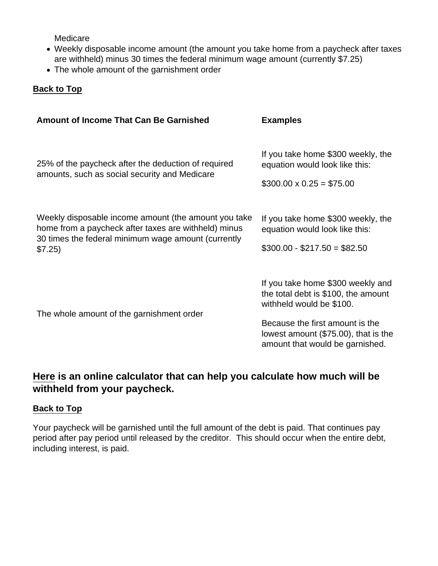<span id="page-2-0"></span>Medicare

- Weekly disposable income amount (the amount you take home from a paycheck after taxes are withheld) minus 30 times the federal minimum wage amount (currently \$7.25)
- The whole amount of the garnishment order

[Back to Top](#page-0-0)

| Amount of Income That Can Be Garnished                                                                                                                                         | <b>Examples</b>                                                                                                                                                                                                       |
|--------------------------------------------------------------------------------------------------------------------------------------------------------------------------------|-----------------------------------------------------------------------------------------------------------------------------------------------------------------------------------------------------------------------|
| 25% of the paycheck after the deduction of required<br>amounts, such as social security and Medicare                                                                           | If you take home \$300 weekly, the<br>equation would look like this:<br>$$300.00 \times 0.25 = $75.00$                                                                                                                |
| Weekly disposable income amount (the amount you take<br>home from a paycheck after taxes are withheld) minus<br>30 times the federal minimum wage amount (currently<br>\$7.25) | If you take home \$300 weekly, the<br>equation would look like this:<br>$$300.00 - $217.50 = $82.50$                                                                                                                  |
| The whole amount of the garnishment order                                                                                                                                      | If you take home \$300 weekly and<br>the total debt is \$100, the amount<br>withheld would be \$100.<br>Because the first amount is the<br>lowest amount $(\$75.00)$ , that is the<br>amount that would be garnished. |

[Here](https://www.money-zine.com/calculators/loan-calculators/wage-garnishment-calculator/) is an online calculator that can help you calculate how much will be withheld from your paycheck.

#### [Back to Top](#page-0-0)

Your paycheck will be garnished until the full amount of the debt is paid. That continues pay period after pay period until released by the creditor. This should occur when the entire debt, including interest, is paid.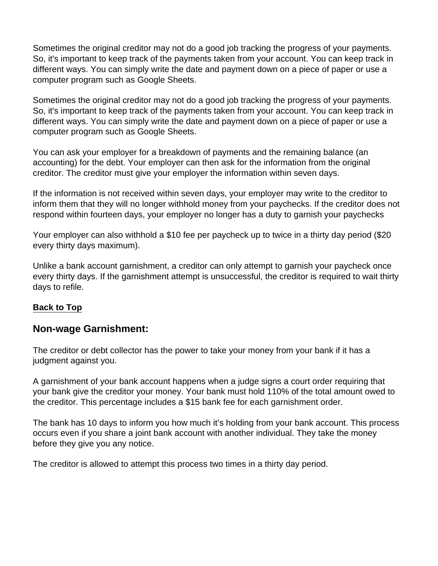<span id="page-3-0"></span>Sometimes the original creditor may not do a good job tracking the progress of your payments. So, it's important to keep track of the payments taken from your account. You can keep track in different ways. You can simply write the date and payment down on a piece of paper or use a computer program such as Google Sheets.

Sometimes the original creditor may not do a good job tracking the progress of your payments. So, it's important to keep track of the payments taken from your account. You can keep track in different ways. You can simply write the date and payment down on a piece of paper or use a computer program such as Google Sheets.

You can ask your employer for a breakdown of payments and the remaining balance (an accounting) for the debt. Your employer can then ask for the information from the original creditor. The creditor must give your employer the information within seven days.

If the information is not received within seven days, your employer may write to the creditor to inform them that they will no longer withhold money from your paychecks. If the creditor does not respond within fourteen days, your employer no longer has a duty to garnish your paychecks

Your employer can also withhold a \$10 fee per paycheck up to twice in a thirty day period (\$20 every thirty days maximum).

Unlike a bank account garnishment, a creditor can only attempt to garnish your paycheck once every thirty days. If the garnishment attempt is unsuccessful, the creditor is required to wait thirty days to refile.

#### [Back to Top](#page-0-0)

## Non-wage Garnishment:

The creditor or debt collector has the power to take your money from your bank if it has a judgment against you.

A garnishment of your bank account happens when a judge signs a court order requiring that your bank give the creditor your money. Your bank must hold 110% of the total amount owed to the creditor. This percentage includes a \$15 bank fee for each garnishment order.

The bank has 10 days to inform you how much it's holding from your bank account. This process occurs even if you share a joint bank account with another individual. They take the money before they give you any notice.

The creditor is allowed to attempt this process two times in a thirty day period.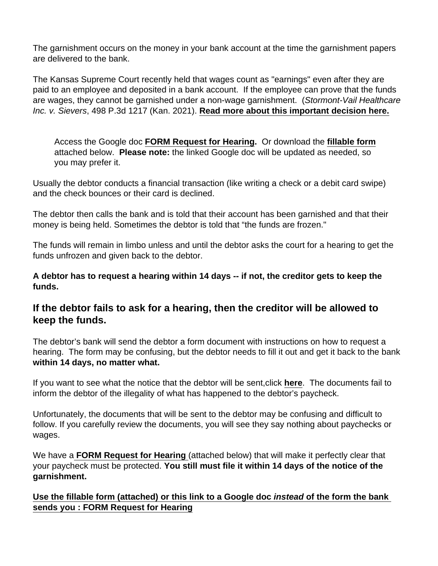<span id="page-4-0"></span>The garnishment occurs on the money in your bank account at the time the garnishment papers are delivered to the bank.

The Kansas Supreme Court recently held that wages count as "earnings" even after they are paid to an employee and deposited in a bank account. If the employee can prove that the funds are wages, they cannot be garnished under a non-wage garnishment. (Stormont-Vail Healthcare Inc. v. Sievers, 498 P.3d 1217 (Kan. 2021). [Read more about this important decision here.](https://www.kansaslegalservices.org/node/2505/paychecks-kansas-are-now-protected-garnishment)

Access the Google doc [FORM Request for Hearing](https://docs.google.com/document/d/11cxbPEbmFrBAz-3yJHPn7RbmCgbP_ymMrzMl3qPA80o/edit) . Or download the [fillable form](https://www.kansaslegalservices.org/sites/kansaslegalservices.org/files/FORM Request for Hearing - Per K.S.A. 61-3508.pdf) attached below. Please note: the linked Google doc will be updated as needed, so you may prefer it.

Usually the debtor conducts a financial transaction (like writing a check or a debit card swipe) and the check bounces or their card is declined.

The debtor then calls the bank and is told that their account has been garnished and that their money is being held. Sometimes the debtor is told that "the funds are frozen."

The funds will remain in limbo unless and until the debtor asks the court for a hearing to get the funds unfrozen and given back to the debtor.

A debtor has to request a hearing within 14 days -- if not, the creditor gets to keep the funds.

If the debtor fails to ask for a hearing, then the creditor will be allowed to keep the funds.

The debtor's bank will send the debtor a form document with instructions on how to request a hearing. The form may be confusing, but the debtor needs to fill it out and get it back to the bank within 14 days, no matter what.

If you want to see what the notice that the debtor will be sent,click [here.](https://www.kansasjudicialcouncil.org/sites/default/files/Ch 61 Notice to Judgment Debtor (nonearnings) (10-2013).pdf) The documents fail to inform the debtor of the illegality of what has happened to the debtor's paycheck.

Unfortunately, the documents that will be sent to the debtor may be confusing and difficult to follow. If you carefully review the documents, you will see they say nothing about paychecks or wages.

We have [a FORM Request for Hearing](https://www.kansaslegalservices.org/sites/kansaslegalservices.org/files/FORM Request for Hearing - Per K.S.A. 61-3508.pdf) (attached below) that will make it perfectly clear that your paycheck must be protected. You still must file it within 14 days of the notice of the garnishment.

[Use the fillable form \(attached\) or this link to a Google doc instead of the form the](https://www.kansaslegalservices.org/sites/kansaslegalservices.org/files/FORM Request for Hearing - Per K.S.A. 61-3508.pdf) bank [sends you :](https://www.kansaslegalservices.org/sites/kansaslegalservices.org/files/FORM Request for Hearing - Per K.S.A. 61-3508.pdf) [FORM Request for Hearing](https://docs.google.com/document/d/11cxbPEbmFrBAz-3yJHPn7RbmCgbP_ymMrzMl3qPA80o/edit)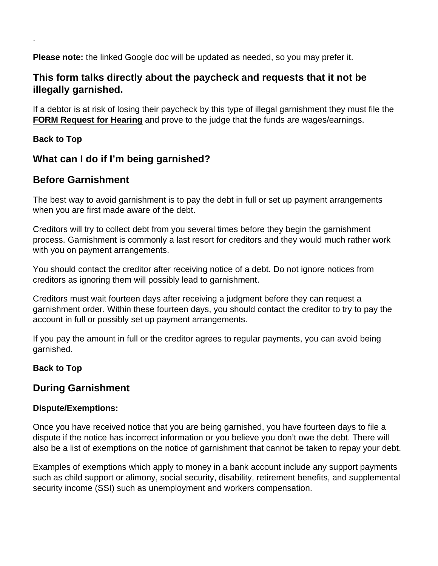Please note: the linked Google doc will be updated as needed, so you may prefer it.

This form talks directly about the paycheck and requests that it not be illegally garnished.

If a debtor is at risk of losing their paycheck by this type of illegal garnishment they must file the [FORM Request for Hearing](https://docs.google.com/document/d/11cxbPEbmFrBAz-3yJHPn7RbmCgbP_ymMrzMl3qPA80o/edit) and prove to the judge that the funds are wages/earnings.

### [Back to Top](#page-0-0)

<span id="page-5-0"></span>.

What can I do if I'm being garnished?

## Before Garnishment

The best way to avoid garnishment is to pay the debt in full or set up payment arrangements when you are first made aware of the debt.

Creditors will try to collect debt from you several times before they begin the garnishment process. Garnishment is commonly a last resort for creditors and they would much rather work with you on payment arrangements.

You should contact the creditor after receiving notice of a debt. Do not ignore notices from creditors as ignoring them will possibly lead to garnishment.

Creditors must wait fourteen days after receiving a judgment before they can request a garnishment order. Within these fourteen days, you should contact the creditor to try to pay the account in full or possibly set up payment arrangements.

If you pay the amount in full or the creditor agrees to regular payments, you can avoid being garnished.

## [Back to Top](#page-0-0)

## During Garnishment

## Dispute/Exemptions:

Once you have received notice that you are being garnished, [you have fourteen days](https://www.ksrevisor.org/statutes/chapters/ch61/061_035_0008.html) to file a dispute if the notice has incorrect information or you believe you don't owe the debt. There will also be a list of exemptions on the notice of garnishment that cannot be taken to repay your debt.

Examples of exemptions which apply to money in a bank account include any support payments such as child support or alimony, social security, disability, retirement benefits, and supplemental security income (SSI) such as unemployment and workers compensation.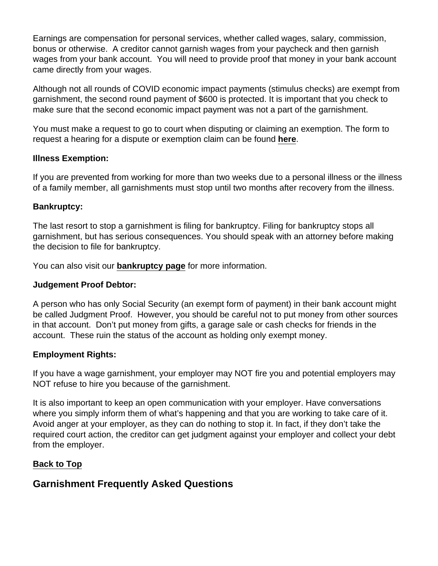<span id="page-6-0"></span>Earnings are compensation for personal services, whether called wages, salary, commission, bonus or otherwise. A creditor cannot garnish wages from your paycheck and then garnish wages from your bank account. You will need to provide proof that money in your bank account came directly from your wages.

Although not all rounds of COVID economic impact payments (stimulus checks) are exempt from garnishment, the second round payment of \$600 is protected. It is important that you check to make sure that the second economic impact payment was not a part of the garnishment.

You must make a request to go to court when disputing or claiming an exemption. The form to request a hearing for a dispute or exemption claim can be found [here](https://www.kansasjudicialcouncil.org/sites/default/files/Ch 61 Notice to Judgment Debtor (nonearnings) (10-2013).pdf).

### Illness Exemption:

If you are prevented from working for more than two weeks due to a personal illness or the illness of a family member, all garnishments must stop until two months after recovery from the illness.

### Bankruptcy:

The last resort to stop a garnishment is filing for bankruptcy. Filing for bankruptcy stops all garnishment, but has serious consequences. You should speak with an attorney before making the decision to file for bankruptcy.

You can also visit our [bankruptcy page](https://www.kansaslegalservices.org/node/all-about-bankruptcy) for more information.

Judgement Proof Debtor:

A person who has only Social Security (an exempt form of payment) in their bank account might be called Judgment Proof. However, you should be careful not to put money from other sources in that account. Don't put money from gifts, a garage sale or cash checks for friends in the account. These ruin the status of the account as holding only exempt money.

#### Employment Rights:

If you have a wage garnishment, your employer may NOT fire you and potential employers may NOT refuse to hire you because of the garnishment.

It is also important to keep an open communication with your employer. Have conversations where you simply inform them of what's happening and that you are working to take care of it. Avoid anger at your employer, as they can do nothing to stop it. In fact, if they don't take the required court action, the creditor can get judgment against your employer and collect your debt from the employer.

#### [Back to Top](#page-0-0)

Garnishment Frequently Asked Questions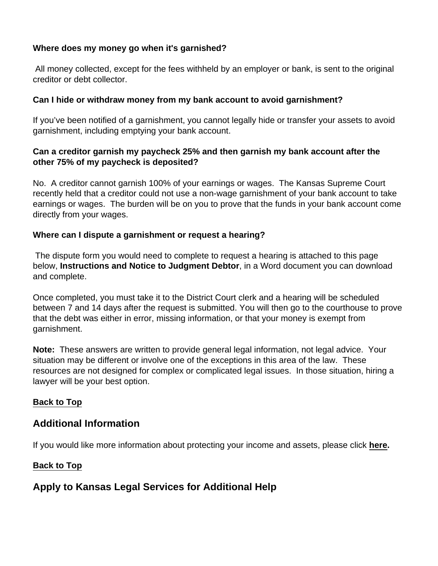<span id="page-7-0"></span>Where does my money go when it's garnished?

 All money collected, except for the fees withheld by an employer or bank, is sent to the original creditor or debt collector.

Can I hide or withdraw money from my bank account to avoid garnishment?

If you've been notified of a garnishment, you cannot legally hide or transfer your assets to avoid garnishment, including emptying your bank account.

Can a creditor garnish my paycheck 25% and then garnish my bank account after the other 75% of my paycheck is deposited?

No. A creditor cannot garnish 100% of your earnings or wages. The Kansas Supreme Court recently held that a creditor could not use a non-wage garnishment of your bank account to take earnings or wages. The burden will be on you to prove that the funds in your bank account come directly from your wages.

Where can I dispute a garnishment or request a hearing?

 The dispute form you would need to complete to request a hearing is attached to this page below, Instructions and Notice to Judgment Debtor , in a Word document you can download and complete.

Once completed, you must take it to the District Court clerk and a hearing will be scheduled between 7 and 14 days after the request is submitted. You will then go to the courthouse to prove that the debt was either in error, missing information, or that your money is exempt from garnishment.

Note: These answers are written to provide general legal information, not legal advice. Your situation may be different or involve one of the exceptions in this area of the law. These resources are not designed for complex or complicated legal issues. In those situation, hiring a lawyer will be your best option.

[Back to Top](#page-0-0)

## Additional Information

If you would like more information about protecting your income and assets, please click [here.](https://www.kansaslegalservices.org/sites/kansaslegalservices.org/files/Protect Your Income & Assets Brochure.pdf)

[Back to Top](#page-0-0)

Apply to Kansas Legal Services for Additional Help